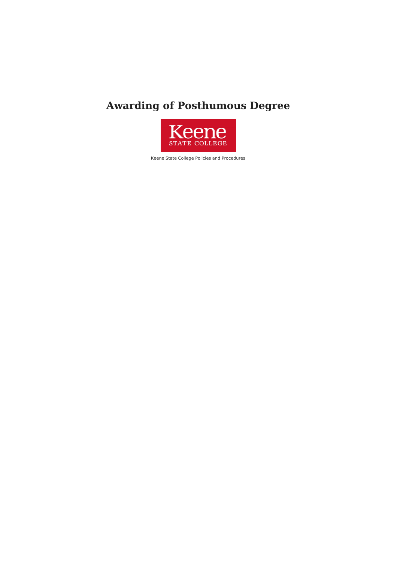# **Awarding of Posthumous Degree**



Keene State College Policies and Procedures